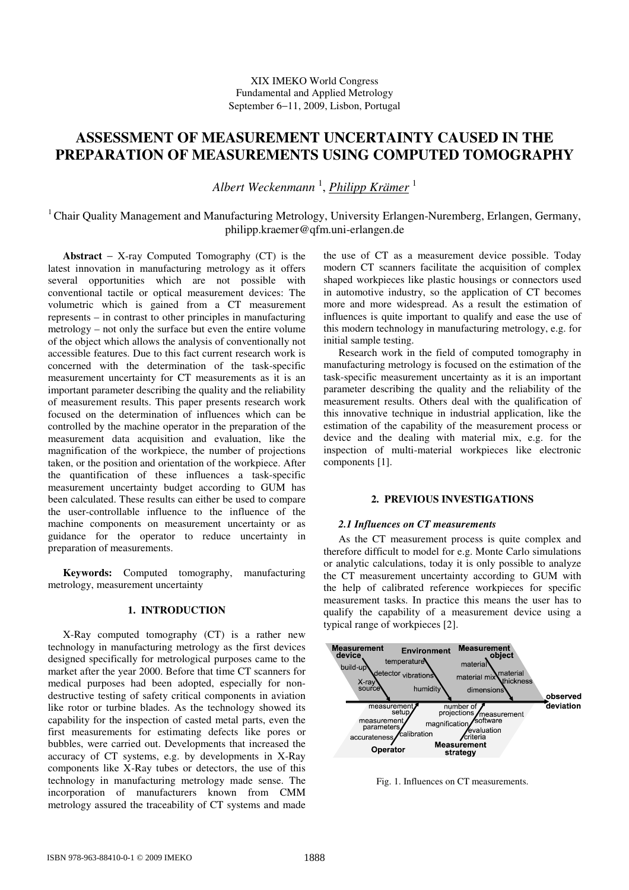# XIX IMEKO World Congress Fundamental and Applied Metrology September 6−11, 2009, Lisbon, Portugal

# **ASSESSMENT OF MEASUREMENT UNCERTAINTY CAUSED IN THE PREPARATION OF MEASUREMENTS USING COMPUTED TOMOGRAPHY**

*Albert Weckenmann* <sup>1</sup> , *Philipp Krämer* <sup>1</sup>

<sup>1</sup> Chair Quality Management and Manufacturing Metrology, University Erlangen-Nuremberg, Erlangen, Germany, philipp.kraemer@qfm.uni-erlangen.de

**Abstract** − X-ray Computed Tomography (CT) is the latest innovation in manufacturing metrology as it offers several opportunities which are not possible with conventional tactile or optical measurement devices: The volumetric which is gained from a CT measurement represents – in contrast to other principles in manufacturing metrology – not only the surface but even the entire volume of the object which allows the analysis of conventionally not accessible features. Due to this fact current research work is concerned with the determination of the task-specific measurement uncertainty for CT measurements as it is an important parameter describing the quality and the reliability of measurement results. This paper presents research work focused on the determination of influences which can be controlled by the machine operator in the preparation of the measurement data acquisition and evaluation, like the magnification of the workpiece, the number of projections taken, or the position and orientation of the workpiece. After the quantification of these influences a task-specific measurement uncertainty budget according to GUM has been calculated. These results can either be used to compare the user-controllable influence to the influence of the machine components on measurement uncertainty or as guidance for the operator to reduce uncertainty in preparation of measurements.

**Keywords:** Computed tomography, manufacturing metrology, measurement uncertainty

# **1. INTRODUCTION**

X-Ray computed tomography (CT) is a rather new technology in manufacturing metrology as the first devices designed specifically for metrological purposes came to the market after the year 2000. Before that time CT scanners for medical purposes had been adopted, especially for nondestructive testing of safety critical components in aviation like rotor or turbine blades. As the technology showed its capability for the inspection of casted metal parts, even the first measurements for estimating defects like pores or bubbles, were carried out. Developments that increased the accuracy of CT systems, e.g. by developments in X-Ray components like X-Ray tubes or detectors, the use of this technology in manufacturing metrology made sense. The incorporation of manufacturers known from CMM metrology assured the traceability of CT systems and made the use of CT as a measurement device possible. Today modern CT scanners facilitate the acquisition of complex shaped workpieces like plastic housings or connectors used in automotive industry, so the application of CT becomes more and more widespread. As a result the estimation of influences is quite important to qualify and ease the use of this modern technology in manufacturing metrology, e.g. for initial sample testing.

Research work in the field of computed tomography in manufacturing metrology is focused on the estimation of the task-specific measurement uncertainty as it is an important parameter describing the quality and the reliability of the measurement results. Others deal with the qualification of this innovative technique in industrial application, like the estimation of the capability of the measurement process or device and the dealing with material mix, e.g. for the inspection of multi-material workpieces like electronic components [1].

# **2. PREVIOUS INVESTIGATIONS**

### *2.1 Influences on CT measurements*

As the CT measurement process is quite complex and therefore difficult to model for e.g. Monte Carlo simulations or analytic calculations, today it is only possible to analyze the CT measurement uncertainty according to GUM with the help of calibrated reference workpieces for specific measurement tasks. In practice this means the user has to qualify the capability of a measurement device using a typical range of workpieces [2].



Fig. 1. Influences on CT measurements.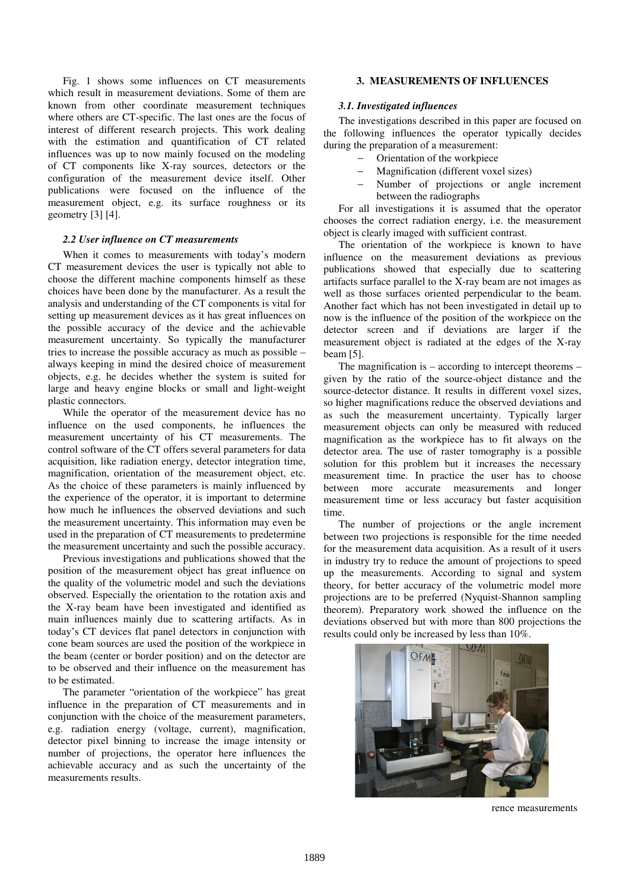Fig. 1 shows some influences on CT measurements which result in measurement deviations. Some of them are known from other coordinate measurement techniques where others are CT-specific. The last ones are the focus of interest of different research projects. This work dealing with the estimation and quantification of CT related influences was up to now mainly focused on the modeling of CT components like X-ray sources, detectors or the configuration of the measurement device itself. Other publications were focused on the influence of the measurement object, e.g. its surface roughness or its geometry [3] [4]. wn from other coordinate measurement techniques<br>ree others are CT-specific. The last ones are the focus of<br>rest of different research projects. This work dealing<br>in the estimation and quantification of CT related ainly focused on the modeling<br>ray sources, detectors or the<br>urement device itself. Other<br>on the influence of the<br>its surface roughness or its

# *2.2 User influence on CT measurements*

When it comes to measurements with today's modern CT measurement devices the user is typically not able to choose the different machine components himself as these choices have been done by the manufacturer. As a result the analysis and understanding of the CT components is vital for setting up measurement devices as it has great influences on the possible accuracy of the device and the achievable measurement uncertainty. So typically the manufacturer tries to increase the possible accuracy as much as possible  $$ always keeping in mind the desired choice of measurement objects, e.g. he decides whether the system is suited for large and heavy engine blocks or small and light-weight plastic connectors.

While the operator of the measurement device has no influence on the used components, he influences the measurement uncertainty of his CT measurements. The control software of the CT offers several parameters for data acquisition, like radiation energy, detector integration time, magnification, orientation of the measurement object, etc. As the choice of these parameters is mainly influenced by the experience of the operator, it is important to determine how much he influences the observed deviations and such the measurement uncertainty. This information may even be magnification, orientation of the measurement object, etc.<br>As the choice of these parameters is mainly influenced by<br>the experience of the operator, it is important to determine<br>how much he influences the observed deviatio the measurement uncertainty and such the possible accuracy.

Previous investigations and publications showed that the position of the measurement object has great influence on the quality of the volumetric model and such the deviations observed. Especially the orientation to the rotation axis and the X-ray beam have been investigated and identified as the X-ray beam have been investigated and identified as main influences mainly due to scattering artifacts. As in today's CT devices flat panel detectors in conjunction with cone beam sources are used the position of the workpiece in the beam (center or border position) and on the detector are to be observed and their influence on the measurement has to be estimated. ay's CT devices flat panel detectors in conjunction with e beam sources are used the position of the workpiece in beam (center or border position) and on the detector are be observed and their influence on the measurement

influence in the preparation of CT measurements and in conjunction with the choice of the measurement parameters, e.g. radiation energy (voltage, current), magnification, detector pixel binning to increase the image intensity or number of projections, the operator here influences the achievable accuracy and as such the uncertainty of the measurements results.

## **3. MEASUREMENTS OF INFLUENCES**

#### *3.1. Investigated influences*

The investigations described in this paper are focused on the following influences the operator typically decides during the preparation of a measurement: he preparation of a measurement:<br>- Orientation of the workpiece

- 
- − Magnification (different voxel sizes)
- − Number of projections or angle increment Number increment between the radiographs

For all investigations it is assumed that the operator chooses the correct radiation energy, i.e. the measurement object is clearly imaged with sufficient contrast.

The orientation of the workpiece is known to have have influence on the measurement deviations as previous publications showed that especially due to scattering artifacts surface parallel to the  $X$ -ray beam are not images as well as those surfaces oriented perpendicular to the beam. Another fact which has not been investigated in detail up to now is the influence of the position of the workpiece on the detector screen and if deviations are larger if the detector screen and if deviations are larger if the measurement object is radiated at the edges of the X-ray beam [5].

The magnification is  $-$  according to intercept theorems  $$ given by the ratio of the source-object distance and the source-detector distance. It results in different voxel sizes, so higher magnifications reduce the observed deviations and as such the measurement uncertainty. Typically larger measurement objects can only be measured with reduced magnification as the workpiece has to fit always on the detector area. The use of raster tomography is a possible solution for this problem but it increases the necessary measurement time. In practice the user has to choose between more accurate measurements and longer measurement time or less accuracy but faster acquisition time.

The number of projections or the angle increment between two projections is responsible for the time needed for the measurement data acquisition. As a result of it users in industry try to reduce the amount of projections to speed up the measurements. According to signal and system theory, for better accuracy of the volumetric model more projections are to be preferred (Nyquist-Shannon sampling theorem). Preparatory work showed the influence on the deviations observed but with more than 800 projections the results could only be increased by less than 10%.



rence measurements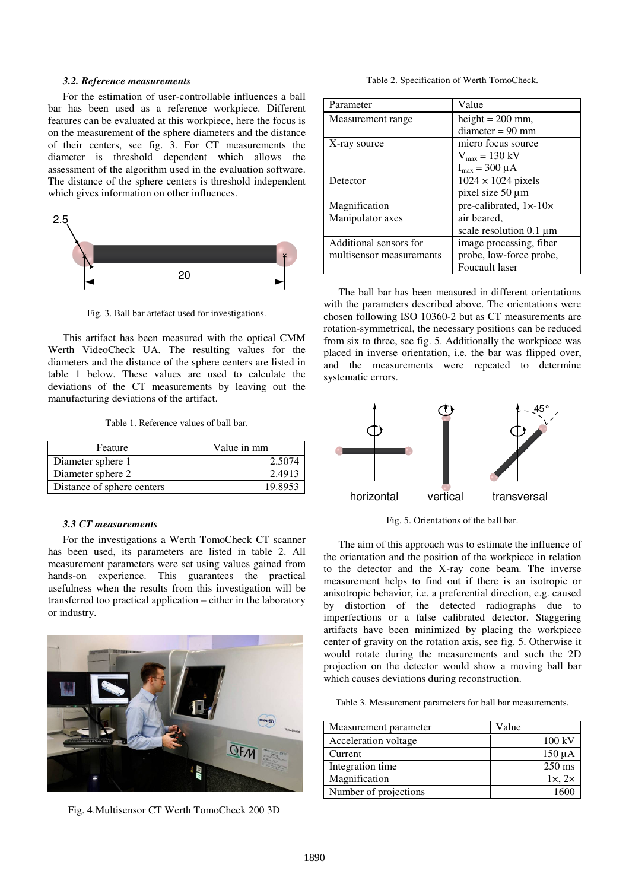#### *3.2. Reference measurements*

For the estimation of user-controllable influences a ball bar has been used as a reference workpiece. Different features can be evaluated at this workpiece, here the focus is on the measurement of the sphere diameters and the distance of their centers, see fig. 3. For CT measurements the diameter is threshold dependent which allows the assessment of the algorithm used in the evaluation software. The distance of the sphere centers is threshold independent which gives information on other influences.



Fig. 3. Ball bar artefact used for investigations.

This artifact has been measured with the optical CMM Werth VideoCheck UA. The resulting values for the diameters and the distance of the sphere centers are listed in table 1 below. These values are used to calculate the deviations of the CT measurements by leaving out the manufacturing deviations of the artifact.

Table 1. Reference values of ball bar.

| Feature                    | Value in mm |
|----------------------------|-------------|
| Diameter sphere 1          | 2.507       |
| Diameter sphere 2          | 2.4913      |
| Distance of sphere centers | 19.8953     |

### *3.3 CT measurements*

For the investigations a Werth TomoCheck CT scanner has been used, its parameters are listed in table 2. All measurement parameters were set using values gained from hands-on experience. This guarantees the practical usefulness when the results from this investigation will be transferred too practical application – either in the laboratory or industry.



Fig. 4.Multisensor CT Werth TomoCheck 200 3D

Table 2. Specification of Werth TomoCheck.

| Parameter                | Value                                 |  |
|--------------------------|---------------------------------------|--|
| Measurement range        | height = $200$ mm,                    |  |
|                          | $diameter = 90$ mm                    |  |
| X-ray source             | micro focus source                    |  |
|                          | $V_{\text{max}} = 130 \text{ kV}$     |  |
|                          | $I_{max} = 300 \mu A$                 |  |
| Detector                 | $1024 \times 1024$ pixels             |  |
|                          | pixel size 50 µm                      |  |
| Magnification            | pre-calibrated, $1 \times -10 \times$ |  |
| Manipulator axes         | air beared.                           |  |
|                          | scale resolution $0.1 \mu m$          |  |
| Additional sensors for   | image processing, fiber               |  |
| multisensor measurements | probe, low-force probe,               |  |
|                          | <b>Foucault</b> laser                 |  |

The ball bar has been measured in different orientations with the parameters described above. The orientations were chosen following ISO 10360-2 but as CT measurements are rotation-symmetrical, the necessary positions can be reduced from six to three, see fig. 5. Additionally the workpiece was placed in inverse orientation, i.e. the bar was flipped over, and the measurements were repeated to determine systematic errors.



Fig. 5. Orientations of the ball bar.

The aim of this approach was to estimate the influence of the orientation and the position of the workpiece in relation to the detector and the X-ray cone beam. The inverse measurement helps to find out if there is an isotropic or anisotropic behavior, i.e. a preferential direction, e.g. caused by distortion of the detected radiographs due to imperfections or a false calibrated detector. Staggering artifacts have been minimized by placing the workpiece center of gravity on the rotation axis, see fig. 5. Otherwise it would rotate during the measurements and such the 2D projection on the detector would show a moving ball bar which causes deviations during reconstruction.

Table 3. Measurement parameters for ball bar measurements.

| Measurement parameter | Value            |
|-----------------------|------------------|
| Acceleration voltage  | 100 kV           |
| Current               | $150 \mu A$      |
| Integration time      | $250 \text{ ms}$ |
| Magnification         | 1x, 2x           |
| Number of projections |                  |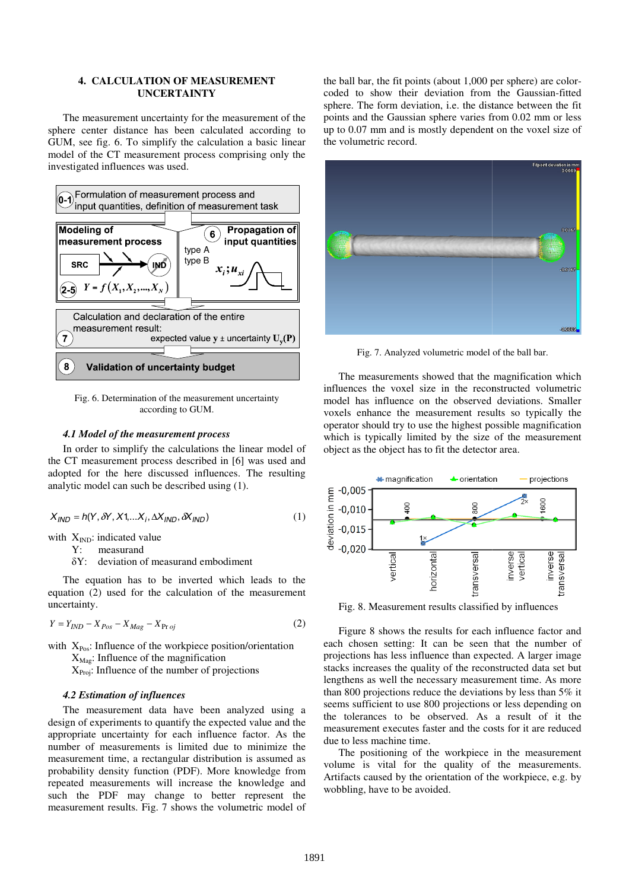### **4. CALCULATION OF MEASUREMENT REMENT UNCERTAINTY**

The measurement uncertainty for the measurement of the sphere center distance has been calculated according to sphere center distance has been calculated according to GUM, see fig. 6. To simplify the calculation a basic linear model of the CT measurement process comprising only the investigated influences was used.



Fig. 6. Determination of the measurement uncertainty according to GUM.

## *4.1 Model of the measurement process*

In order to simplify the calculations the linear model of the CT measurement process described in [6] was used and adopted for the here discussed influences. The resulting analytic model can such be described using (1). ] was used and<br>The resulting<br>). (1)

$$
X_{IND} = h(Y, \delta Y, X1, \dots X_i, \Delta X_{IND}, \delta X_{IND})
$$
\n(1)

with  $X_{IND}$ : indicated value<br>Y: measurand

measurand

δY: deviation of measurand embodiment

The equation has to be inverted which leads to the equation (2) used for the calculation of the measurement uncertainty.

$$
Y = Y_{IND} - X_{Pos} - X_{Mag} - X_{Proj}
$$
 (2)

with  $X_{\text{Pos}}$ : Influence of the workpiece position/orientation

 $X_{\text{Mag}}$ : Influence of the magnification

 $X_{\text{Proj}}$ : Influence of the number of projections

## *4.2 Estimation of influences*

 $X_{\text{Mag}}$ : Influence of the workpiece position/orientation<br>  $X_{\text{Mag}}$ : Influence of the magnification<br>  $X_{\text{Proj}}$ : Influence of the number of projections<br> **4.2 Estimation of influences**<br>
The measurement data have been ana design of experiments to quantify the expected value and the appropriate uncertainty for each influence factor. As the number of measurements is limited due to minimize the measurement time, a rectangular distribution is assumed as probability density function (PDF). More knowledge f repeated measurements will increase the knowledge and such the PDF may change to better represent the measurement results. Fig. 7 shows the volumetric model of ate uncertainty for each influence factor. As the<br>of measurements is limited due to minimize the<br>ment time, a rectangular distribution is assumed as<br>ity density function (PDF). More knowledge from

the ball bar, the fit points (about 1,000 per sphere) are colorcoded to show their deviation from the Gaussian-fitted sphere. The form deviation, i.e. the distance between the fit points and the Gaussian sphere varies from 0.02 mm or less up to 0.07 mm and is mostly dependent on the voxel size of the volumetric record.



Fig. 7. Analyzed volumetric model of the ball bar.

The measurements showed that the magnification which influences the voxel size in the reconstructed volumetric model has influence on the observed deviations. Smaller voxels enhance the measurement results so typically the operator should try to use the highest possible magnification which is typically limited by the size of the measurement object as the object has to fit the detector area.



Fig. 8. Measurement results classified by influences

Figure 8 shows the results for each influence factor and each chosen setting: It can be seen that the number of projections has less influence than expected. A larger image stacks increases the quality of the reconstructed data set but lengthens as well the necessary measurement time. As more than 800 projections reduce the deviations by less than  $5\%$  it seems sufficient to use 800 projections or less depending on the tolerances to be observed. As a result of it the measurement executes faster and the costs for it are reduced due to less machine time.

The positioning of the workpiece in the measurement volume is vital for the quality of the measurements. Artifacts caused by the orientation of the workpiece, e.g. by wobbling, have to be avoided.